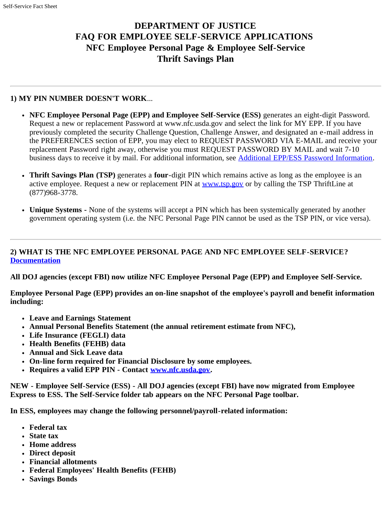# **DEPARTMENT OF JUSTICE FAQ FOR EMPLOYEE SELF-SERVICE APPLICATIONS NFC Employee Personal Page & Employee Self-Service Thrift Savings Plan**

## **1) MY PIN NUMBER DOESN'T WORK**...

- **NFC Employee Personal Page (EPP) and Employee Self-Service (ESS)** generates an eight-digit Password. Request a new or replacement Password at www.nfc.usda.gov and select the link for MY EPP. If you have previously completed the security Challenge Question, Challenge Answer, and designated an e-mail address in the PREFERENCES section of EPP, you may elect to REQUEST PASSWORD VIA E-MAIL and receive your replacement Password right away, otherwise you must REQUEST PASSWORD BY MAIL and wait 7-10 business days to receive it by mail. For additional information, see [Additional EPP/ESS Password Information](http://www.justice.gov/jmd/fs/hrsag/epp_ess_pw.html).
- **Thrift Savings Plan (TSP)** generates a **four**-digit PIN which remains active as long as the employee is an  $\bullet$ active employee. Request a new or replacement PIN at [www.tsp.gov](http://www.tsp.gov/) or by calling the TSP ThriftLine at (877)968-3778.
- **Unique Systems** None of the systems will accept a PIN which has been systemically generated by another government operating system (i.e. the NFC Personal Page PIN cannot be used as the TSP PIN, or vice versa).

## **2) WHAT IS THE NFC EMPLOYEE PERSONAL PAGE AND NFC EMPLOYEE SELF-SERVICE? [Documentation](http://www.justice.gov/jmd/fs/hrsag/essdocument.pdf)**

**All DOJ agencies (except FBI) now utilize NFC Employee Personal Page (EPP) and Employee Self-Service.**

**Employee Personal Page (EPP) provides an on-line snapshot of the employee's payroll and benefit information including:**

- **Leave and Earnings Statement**
- **Annual Personal Benefits Statement (the annual retirement estimate from NFC),**
- **Life Insurance (FEGLI) data**
- **Health Benefits (FEHB) data**
- **Annual and Sick Leave data**
- **On-line form required for Financial Disclosure by some employees.**
- **Requires a valid EPP PIN Contact [www.nfc.usda.gov.](http://www.nfc.usda.gov/)**

**NEW - Employee Self-Service (ESS) - All DOJ agencies (except FBI) have now migrated from Employee Express to ESS. The Self-Service folder tab appears on the NFC Personal Page toolbar.**

**In ESS, employees may change the following personnel/payroll-related information:**

- **Federal tax**
- **State tax**
- **Home address**
- **Direct deposit**
- **Financial allotments**
- **Federal Employees' Health Benefits (FEHB)**
- **Savings Bonds**